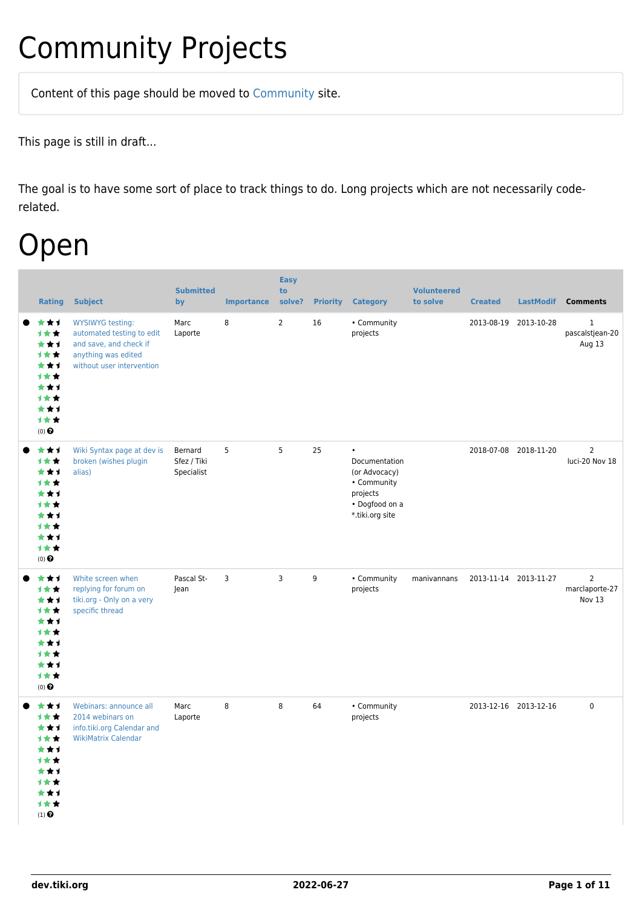# Community Projects

Content of this page should be [moved](https://dev.tiki.org/tiki-editpage.php?page=moved) to [Community](http://tiki.org/Community) site.

This page is still in draft...

The goal is to have some sort of place to track things to do. Long projects which are not necessarily coderelated.

### Open

| <b>Rating</b>                                                                                             | <b>Subject</b>                                                                                                                     | <b>Submitted</b><br>by               | <b>Importance</b> | <b>Easy</b><br>to<br>solve? | <b>Priority</b> | <b>Category</b>                                                                                             | <b>Volunteered</b><br>to solve | <b>Created</b>        | <b>LastModif</b> | <b>Comments</b>                            |
|-----------------------------------------------------------------------------------------------------------|------------------------------------------------------------------------------------------------------------------------------------|--------------------------------------|-------------------|-----------------------------|-----------------|-------------------------------------------------------------------------------------------------------------|--------------------------------|-----------------------|------------------|--------------------------------------------|
| ***<br>1★★<br>***<br><b>1**</b><br>***<br>1★★<br>***<br>1★★<br>***<br>计女女<br>$(0)$ $\pmb{\Theta}$         | <b>WYSIWYG testing:</b><br>automated testing to edit<br>and save, and check if<br>anything was edited<br>without user intervention | Marc<br>Laporte                      | 8                 | $\overline{2}$              | 16              | • Community<br>projects                                                                                     |                                | 2013-08-19            | 2013-10-28       | $\mathbf{1}$<br>pascalstjean-20<br>Aug 13  |
| ***<br>1★★<br>***<br><b>1**</b><br>***<br><b>1**</b><br>***<br>1**<br>***<br>计女女<br>$(0)$ $\pmb{\Theta}$  | Wiki Syntax page at dev is<br>broken (wishes plugin<br>alias)                                                                      | Bernard<br>Sfez / Tiki<br>Specialist | 5                 | 5                           | 25              | $\bullet$<br>Documentation<br>(or Advocacy)<br>• Community<br>projects<br>• Dogfood on a<br>*.tiki.org site |                                | 2018-07-08 2018-11-20 |                  | $\overline{2}$<br>luci-20 Nov 18           |
| ***<br>1★★<br>***<br>1**<br>***<br><b>1**</b><br>***<br><b>1**</b><br>***<br>1★★<br>$(0)$ $\pmb{\Theta}$  | White screen when<br>replying for forum on<br>tiki.org - Only on a very<br>specific thread                                         | Pascal St-<br>Jean                   | 3                 | 3                           | 9               | • Community<br>projects                                                                                     | manivannans                    | 2013-11-14 2013-11-27 |                  | $\overline{2}$<br>marclaporte-27<br>Nov 13 |
| ***<br>1★★<br>***<br>1★★<br>***<br>1★★<br>***<br>计女女<br>★★1<br>计女女<br>$(1)$ <sup><math>\odot</math></sup> | Webinars: announce all<br>2014 webinars on<br>info.tiki.org Calendar and<br><b>WikiMatrix Calendar</b>                             | Marc<br>Laporte                      | 8                 | 8                           | 64              | • Community<br>projects                                                                                     |                                | 2013-12-16 2013-12-16 |                  | $\mathbf 0$                                |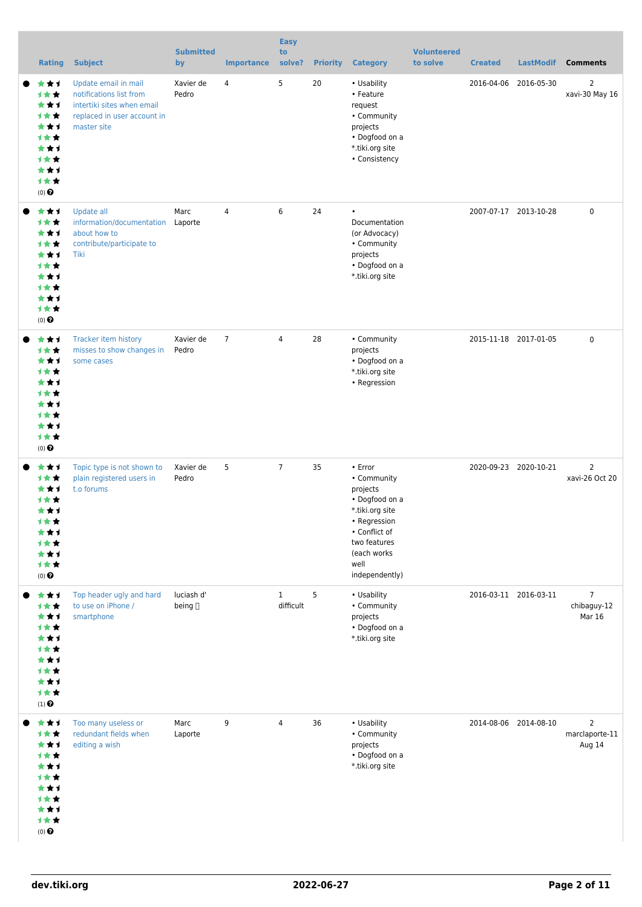| <b>Rating</b>                                                                                     | <b>Subject</b>                                                                                                              | <b>Submitted</b><br>by | <b>Importance</b> | <b>Easy</b><br>to<br>solve? | <b>Priority</b> | <b>Category</b>                                                                                                                                                   | <b>Volunteered</b><br>to solve | <b>Created</b> | <b>LastModif</b>      | <b>Comments</b>                            |
|---------------------------------------------------------------------------------------------------|-----------------------------------------------------------------------------------------------------------------------------|------------------------|-------------------|-----------------------------|-----------------|-------------------------------------------------------------------------------------------------------------------------------------------------------------------|--------------------------------|----------------|-----------------------|--------------------------------------------|
| ★★1<br>1★★<br>***<br>计女女<br>***<br><b>1**</b><br>***<br>计女女<br>***<br>计女女<br>$(0)$ $\odot$        | Update email in mail<br>notifications list from<br>intertiki sites when email<br>replaced in user account in<br>master site | Xavier de<br>Pedro     | 4                 | 5                           | 20              | • Usability<br>• Feature<br>request<br>• Community<br>projects<br>• Dogfood on a<br>*.tiki.org site<br>• Consistency                                              |                                | 2016-04-06     | 2016-05-30            | $\overline{2}$<br>xavi-30 May 16           |
| ★★1<br>计女女<br>***<br>计女女<br>***<br>计女女<br>***<br><b>1**</b><br>***<br>1★★<br>$(0)$ $\odot$        | Update all<br>information/documentation<br>about how to<br>contribute/participate to<br>Tiki                                | Marc<br>Laporte        | $\overline{4}$    | 6                           | 24              | $\bullet$<br>Documentation<br>(or Advocacy)<br>• Community<br>projects<br>• Dogfood on a<br>*.tiki.org site                                                       |                                |                | 2007-07-17 2013-10-28 | $\mathbf 0$                                |
| ★★1<br>计女女<br>***<br><b>1**</b><br>***<br>计女女<br>***<br><b>1**</b><br>***<br>计女女<br>$(0)$ $\odot$ | Tracker item history<br>misses to show changes in<br>some cases                                                             | Xavier de<br>Pedro     | $\overline{7}$    | 4                           | 28              | • Community<br>projects<br>• Dogfood on a<br>*.tiki.org site<br>• Regression                                                                                      |                                |                | 2015-11-18 2017-01-05 | $\mathbf 0$                                |
| ***<br>1**<br>***<br><b>1**</b><br>***<br>计女女<br>***<br>计女女<br>***<br>1★★<br>$(0)$ $\odot$        | Topic type is not shown to<br>plain registered users in<br>t.o forums                                                       | Xavier de<br>Pedro     | 5                 | $\overline{7}$              | 35              | • Error<br>• Community<br>projects<br>• Dogfood on a<br>*.tiki.org site<br>• Regression<br>• Conflict of<br>two features<br>(each works<br>well<br>independently) |                                |                | 2020-09-23 2020-10-21 | $\overline{2}$<br>xavi-26 Oct 20           |
| ***<br>计女女<br>***<br>1★★<br>***<br>计女女<br>***<br>计女女<br>***<br>1★★<br>$(1)$ $\odot$               | Top header ugly and hard<br>to use on iPhone /<br>smartphone                                                                | luciash d'<br>being [] |                   | $\mathbf{1}$<br>difficult   | 5               | • Usability<br>• Community<br>projects<br>• Dogfood on a<br>*.tiki.org site                                                                                       |                                |                | 2016-03-11 2016-03-11 | $\overline{7}$<br>chibaguy-12<br>Mar 16    |
| ***<br>1★★<br>***<br>计女女<br>***<br><b>1**</b><br>***<br>计女女<br>***<br>计女女<br>$(0)$ $\odot$        | Too many useless or<br>redundant fields when<br>editing a wish                                                              | Marc<br>Laporte        | 9                 | 4                           | 36              | • Usability<br>• Community<br>projects<br>• Dogfood on a<br>*.tiki.org site                                                                                       |                                |                | 2014-08-06 2014-08-10 | $\overline{2}$<br>marclaporte-11<br>Aug 14 |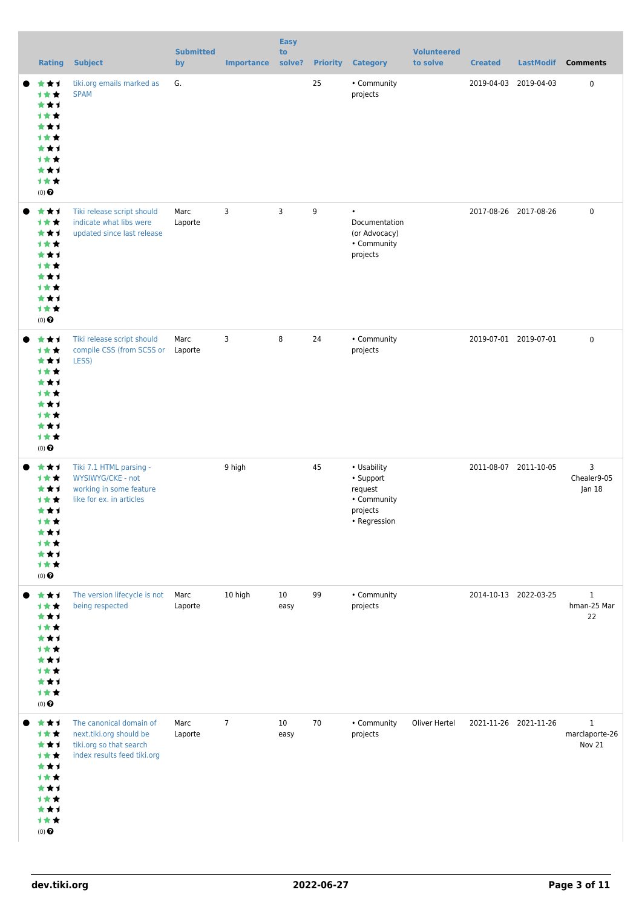| <b>Rating</b>                                                                       | <b>Subject</b>                                                                                               | <b>Submitted</b><br>by | <b>Importance</b> | <b>Easy</b><br>to<br>solve? | <b>Priority</b> | <b>Category</b>                                                                | <b>Volunteered</b><br>to solve | <b>Created</b>        | <b>LastModif</b> | <b>Comments</b>                          |
|-------------------------------------------------------------------------------------|--------------------------------------------------------------------------------------------------------------|------------------------|-------------------|-----------------------------|-----------------|--------------------------------------------------------------------------------|--------------------------------|-----------------------|------------------|------------------------------------------|
| ***<br>计女女<br>***<br>计女女<br>***<br>计女女<br>***<br>1★★<br>***<br>计女女<br>$(0)$ $\odot$ | tiki.org emails marked as<br><b>SPAM</b>                                                                     | G.                     |                   |                             | 25              | • Community<br>projects                                                        |                                | 2019-04-03            | 2019-04-03       | $\mathbf 0$                              |
| ***<br>1★★<br>***<br>计女女<br>***<br>计女女<br>***<br>计女女<br>***<br>计女女<br>$(0)$ $\odot$ | Tiki release script should<br>indicate what libs were<br>updated since last release                          | Marc<br>Laporte        | 3                 | 3                           | 9               | $\bullet$<br>Documentation<br>(or Advocacy)<br>• Community<br>projects         |                                | 2017-08-26 2017-08-26 |                  | $\mathbf 0$                              |
| ***<br>1★★<br>***<br>计女女<br>***<br>1★★<br>***<br>计女女<br>***<br>计女女<br>$(0)$ $\odot$ | Tiki release script should<br>compile CSS (from SCSS or Laporte<br>LESS)                                     | Marc                   | 3                 | 8                           | 24              | • Community<br>projects                                                        |                                | 2019-07-01 2019-07-01 |                  | $\mathbf 0$                              |
| ***<br>计女女<br>***<br>计女女<br>***<br>计女女<br>***<br>计女女<br>***<br>计女女<br>$(0)$ $\odot$ | Tiki 7.1 HTML parsing -<br>WYSIWYG/CKE - not<br>working in some feature<br>like for ex. in articles          |                        | 9 high            |                             | 45              | • Usability<br>• Support<br>request<br>• Community<br>projects<br>• Regression |                                | 2011-08-07 2011-10-05 |                  | 3<br>Chealer9-05<br> an 18               |
| ***<br>1★★<br>***<br>1★★<br>***<br>1★★<br>***<br>计女女<br>***<br>计女女<br>$(0)$ $\odot$ | The version lifecycle is not<br>being respected                                                              | Marc<br>Laporte        | 10 high           | 10 <sup>°</sup><br>easy     | 99              | • Community<br>projects                                                        |                                | 2014-10-13 2022-03-25 |                  | $\mathbf{1}$<br>hman-25 Mar<br>22        |
| ***<br>1★★<br>***<br>计女女<br>***<br>1★★<br>***<br>计女女<br>***<br>计女女<br>$(0)$ $\odot$ | The canonical domain of<br>next.tiki.org should be<br>tiki.org so that search<br>index results feed tiki.org | Marc<br>Laporte        | $\overline{7}$    | 10<br>easy                  | 70              | • Community<br>projects                                                        | Oliver Hertel                  | 2021-11-26 2021-11-26 |                  | $\mathbf{1}$<br>marclaporte-26<br>Nov 21 |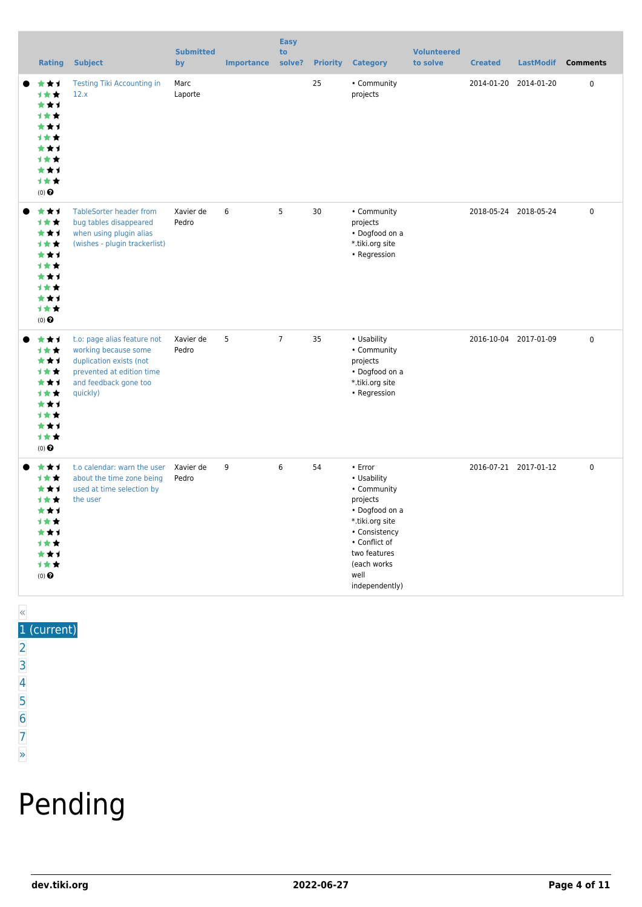| <b>Rating</b>                                                                                     | <b>Subject</b>                                                                                                                                   | <b>Submitted</b><br>by | <b>Importance</b> | <b>Easy</b><br>to<br>solve? | <b>Priority</b> | <b>Category</b>                                                                                                                                                                         | <b>Volunteered</b><br>to solve | <b>Created</b> | <b>LastModif</b>      | <b>Comments</b> |
|---------------------------------------------------------------------------------------------------|--------------------------------------------------------------------------------------------------------------------------------------------------|------------------------|-------------------|-----------------------------|-----------------|-----------------------------------------------------------------------------------------------------------------------------------------------------------------------------------------|--------------------------------|----------------|-----------------------|-----------------|
| ***<br>1★★<br>***<br><b>1**</b><br>★★↑<br>***<br>***<br><b>1**</b><br>***<br>1★★<br>$(0)$ $\odot$ | Testing Tiki Accounting in<br>12.x                                                                                                               | Marc<br>Laporte        |                   |                             | 25              | • Community<br>projects                                                                                                                                                                 |                                | 2014-01-20     | 2014-01-20            | $\mathbf 0$     |
| ***<br>计女女<br>***<br>1★★<br>***<br><b>1**</b><br>★★1<br><b>1**</b><br>***<br>1★★<br>(0)           | <b>TableSorter header from</b><br>bug tables disappeared<br>when using plugin alias<br>(wishes - plugin trackerlist)                             | Xavier de<br>Pedro     | 6                 | 5                           | 30              | • Community<br>projects<br>• Dogfood on a<br>*.tiki.org site<br>• Regression                                                                                                            |                                |                | 2018-05-24 2018-05-24 | 0               |
| ***<br>1★★<br>***<br>1★★<br>***<br>计女女<br>***<br>1★★<br>***<br>1★★<br>$(0)$ $\pmb{\Theta}$        | t.o: page alias feature not<br>working because some<br>duplication exists (not<br>prevented at edition time<br>and feedback gone too<br>quickly) | Xavier de<br>Pedro     | 5                 | $7\overline{ }$             | 35              | • Usability<br>• Community<br>projects<br>• Dogfood on a<br>*.tiki.org site<br>• Regression                                                                                             |                                |                | 2016-10-04 2017-01-09 | 0               |
| ***<br>计女女<br>***<br><b>1**</b><br>***<br><b>1**</b><br>***<br>计女女<br>***<br>计女女<br>(0)           | t.o calendar: warn the user<br>about the time zone being<br>used at time selection by<br>the user                                                | Xavier de<br>Pedro     | 9                 | 6                           | 54              | $\cdot$ Error<br>• Usability<br>• Community<br>projects<br>• Dogfood on a<br>*.tiki.org site<br>• Consistency<br>• Conflict of<br>two features<br>(each works<br>well<br>independently) |                                |                | 2016-07-21 2017-01-12 | $\mathbf 0$     |

#### « 1 (current)

- $\overline{2}$  $\overline{2}$  $\overline{2}$ [3](https://dev.tiki.org/tiki-print.php?tr_sort_mode1=f_26_desc&page=Community+Projects&tr_offset1=40)
- [4](https://dev.tiki.org/tiki-print.php?tr_sort_mode1=f_26_desc&page=Community+Projects&tr_offset1=60)
- [5](https://dev.tiki.org/tiki-print.php?tr_sort_mode1=f_26_desc&page=Community+Projects&tr_offset1=80)
- [6](https://dev.tiki.org/tiki-print.php?tr_sort_mode1=f_26_desc&page=Community+Projects&tr_offset1=100)
- [7](https://dev.tiki.org/tiki-print.php?tr_sort_mode1=f_26_desc&page=Community+Projects&tr_offset1=120)

#### [»](https://dev.tiki.org/tiki-print.php?tr_sort_mode1=f_26_desc&page=Community+Projects&tr_offset1=20)

# Pending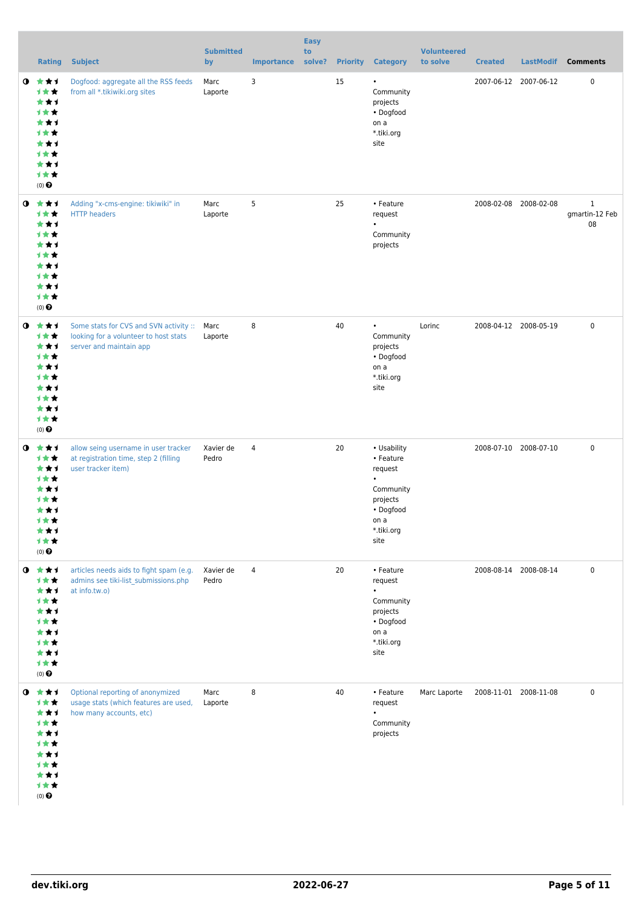|           | <b>Rating</b>                                                                                     | <b>Subject</b>                                                                                             | <b>Submitted</b><br>by | <b>Importance</b> | <b>Easy</b><br>to<br>solve? |    | <b>Priority Category</b>                                                                                             | <b>Volunteered</b><br>to solve | <b>Created</b> | <b>LastModif</b>      | <b>Comments</b>                      |
|-----------|---------------------------------------------------------------------------------------------------|------------------------------------------------------------------------------------------------------------|------------------------|-------------------|-----------------------------|----|----------------------------------------------------------------------------------------------------------------------|--------------------------------|----------------|-----------------------|--------------------------------------|
| $\bullet$ | 大大才<br>计女女<br>***<br><b>1**</b><br>***<br>计女女<br>***<br>计女女<br>***<br>计女女<br>$(0)$ $\odot$        | Dogfood: aggregate all the RSS feeds<br>from all *.tikiwiki.org sites                                      | Marc<br>Laporte        | 3                 |                             | 15 | $\bullet$<br>Community<br>projects<br>• Dogfood<br>on a<br>*.tiki.org<br>site                                        |                                |                | 2007-06-12 2007-06-12 | 0                                    |
| $\bullet$ | ***<br>计女女<br>***<br>计女女<br>***<br><b>1**</b><br>***<br>计女女<br>***<br>计女女<br>$(0)$ $\odot$        | Adding "x-cms-engine: tikiwiki" in<br><b>HTTP</b> headers                                                  | Marc<br>Laporte        | 5                 |                             | 25 | • Feature<br>request<br>Community<br>projects                                                                        |                                |                | 2008-02-08 2008-02-08 | $\mathbf{1}$<br>gmartin-12 Feb<br>08 |
| O         | ***<br>计女女<br>***<br>计女女<br>***<br>计女女<br>***<br>计女女<br>***<br>***<br>$(0)$ $\odot$               | Some stats for CVS and SVN activity ::<br>looking for a volunteer to host stats<br>server and maintain app | Marc<br>Laporte        | 8                 |                             | 40 | $\bullet$<br>Community<br>projects<br>• Dogfood<br>on a<br>*.tiki.org<br>site                                        | Lorinc                         |                | 2008-04-12 2008-05-19 | $\mathbf 0$                          |
| $\bullet$ | ***<br>计女女<br>***<br>计女女<br>***<br>1 <del>*</del> *<br>***<br>计女女<br>***<br>计女女<br>$(0)$ $\Theta$ | allow seing username in user tracker<br>at registration time, step 2 (filling<br>user tracker item)        | Xavier de<br>Pedro     | 4                 |                             | 20 | • Usability<br>• Feature<br>request<br>$\bullet$<br>Community<br>projects<br>• Dogfood<br>on a<br>*.tiki.org<br>site |                                |                | 2008-07-10 2008-07-10 | $\mathbf 0$                          |
|           | $0$ $*$ $*$ $*$<br>计女女<br>***<br>计女女<br>***<br>计女女<br>***<br>计女女<br>***<br>计女女<br>$(0)$ $\Theta$  | articles needs aids to fight spam (e.g.<br>admins see tiki-list submissions.php<br>at info.tw.o)           | Xavier de<br>Pedro     | $\overline{4}$    |                             | 20 | • Feature<br>request<br>$\bullet$<br>Community<br>projects<br>• Dogfood<br>on a<br>*.tiki.org<br>site                |                                |                | 2008-08-14 2008-08-14 | 0                                    |
| $\bullet$ | 大大士<br>计女女<br>***<br>计女女<br>***<br>计女女<br>***<br>计女女<br>***<br>计女女<br>$(0)$ $\Theta$              | Optional reporting of anonymized<br>usage stats (which features are used,<br>how many accounts, etc)       | Marc<br>Laporte        | 8                 |                             | 40 | • Feature<br>request<br>$\bullet$<br>Community<br>projects                                                           | Marc Laporte                   |                | 2008-11-01 2008-11-08 | $\mathbf 0$                          |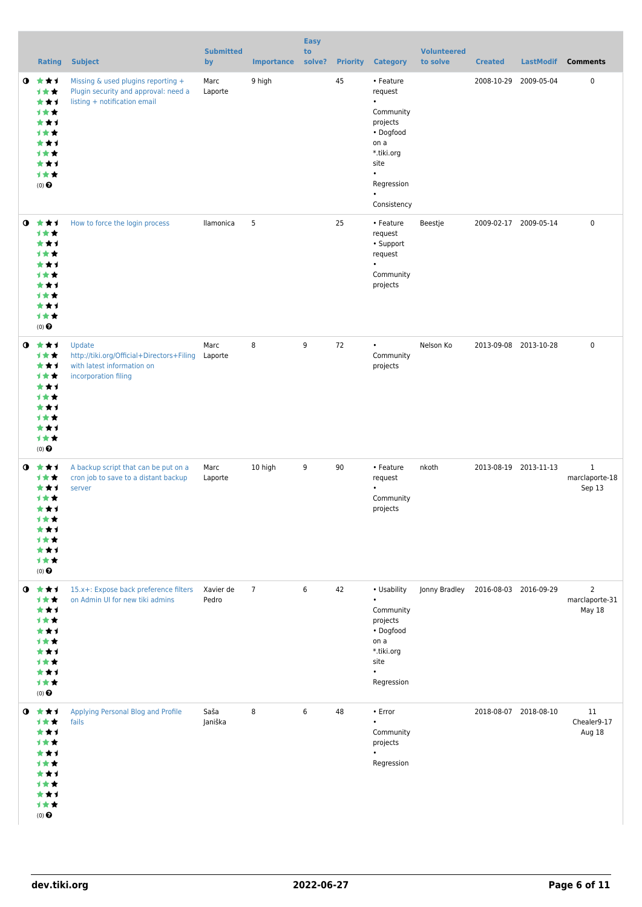|           | <b>Rating</b>                                                                                     | <b>Subject</b>                                                                                             | <b>Submitted</b><br>by | <b>Importance</b> | <b>Easy</b><br>to<br>solve? |    | <b>Priority Category</b>                                                                                                                                     | <b>Volunteered</b><br>to solve | <b>Created</b> | LastModif             | <b>Comments</b>                            |
|-----------|---------------------------------------------------------------------------------------------------|------------------------------------------------------------------------------------------------------------|------------------------|-------------------|-----------------------------|----|--------------------------------------------------------------------------------------------------------------------------------------------------------------|--------------------------------|----------------|-----------------------|--------------------------------------------|
| $\bullet$ | ***<br>计女女<br>***<br>计女女<br>***<br>1★★<br>***<br>1**<br>***<br>计女女<br>$(0)$ $\odot$               | Missing & used plugins reporting +<br>Plugin security and approval: need a<br>listing + notification email | Marc<br>Laporte        | 9 high            |                             | 45 | • Feature<br>request<br>$\bullet$<br>Community<br>projects<br>• Dogfood<br>on a<br>*.tiki.org<br>site<br>$\bullet$<br>Regression<br>$\bullet$<br>Consistency |                                |                | 2008-10-29 2009-05-04 | 0                                          |
| $\bullet$ | 大大才<br>1★★<br>***<br><b>1**</b><br>***<br>1**<br>***<br>计女女<br>***<br>计女女<br>$(0)$ $\odot$        | How to force the login process                                                                             | llamonica              | 5                 |                             | 25 | • Feature<br>request<br>• Support<br>request<br>$\bullet$<br>Community<br>projects                                                                           | Beestje                        |                | 2009-02-17 2009-05-14 | $\mathbf 0$                                |
| $\bullet$ | 大女子<br>计女女<br>***<br>计女女<br>***<br>计女女<br>***<br>1**<br>***<br>计女女<br>$(0)$ $\odot$               | Update<br>http://tiki.org/Official+Directors+Filing<br>with latest information on<br>incorporation filing  | Marc<br>Laporte        | 8                 | 9                           | 72 | $\bullet$<br>Community<br>projects                                                                                                                           | Nelson Ko                      |                | 2013-09-08 2013-10-28 | $\pmb{0}$                                  |
| $\bullet$ | ***<br>计女女<br>★★1<br>**<br>***<br>计女女<br>★★★<br><b>1★★</b><br>***<br>计女女<br>$(0)$ $\odot$         | A backup script that can be put on a<br>cron job to save to a distant backup<br>server                     | Marc<br>Laporte        | 10 high           | 9                           | 90 | • Feature<br>request<br>$\bullet$<br>Community<br>projects                                                                                                   | nkoth                          |                | 2013-08-19 2013-11-13 | $\mathbf{1}$<br>marclaporte-18<br>Sep 13   |
| $\bullet$ | 大大才<br>计女女<br>***<br>计女女<br>***<br>计女女<br>***<br>计女女<br>***<br>计女女<br>$(0)$ $\Theta$              | 15.x+: Expose back preference filters<br>on Admin UI for new tiki admins                                   | Xavier de<br>Pedro     | $\overline{7}$    | $\boldsymbol{6}$            | 42 | • Usability<br>$\bullet$<br>Community<br>projects<br>• Dogfood<br>on a<br>*.tiki.org<br>site<br>$\bullet$<br>Regression                                      | Jonny Bradley                  |                | 2016-08-03 2016-09-29 | $\overline{2}$<br>marclaporte-31<br>May 18 |
|           | $0$ $*$ $*$ $*$<br>1★★<br>***<br>计女女<br>***<br>1**<br>***<br>1 * *<br>***<br>计女女<br>$(0)$ $\odot$ | Applying Personal Blog and Profile<br>fails                                                                | Saša<br>Janiška        | 8                 | 6                           | 48 | • Error<br>$\bullet$<br>Community<br>projects<br>$\bullet$<br>Regression                                                                                     |                                |                | 2018-08-07 2018-08-10 | 11<br>Chealer9-17<br>Aug 18                |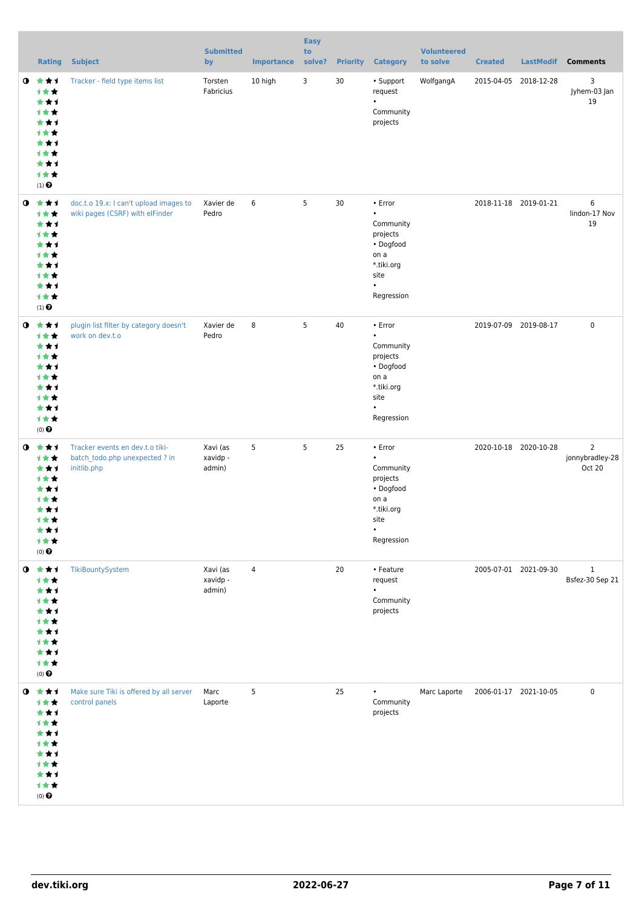|             | <b>Rating</b>                                                                                          | <b>Subject</b>                                                                   | <b>Submitted</b><br>by         | <b>Importance</b> | <b>Easy</b><br>to<br>solve? |    | <b>Priority Category</b>                                                                                                  | <b>Volunteered</b><br>to solve | <b>Created</b>        | LastModif             | <b>Comments</b>                             |
|-------------|--------------------------------------------------------------------------------------------------------|----------------------------------------------------------------------------------|--------------------------------|-------------------|-----------------------------|----|---------------------------------------------------------------------------------------------------------------------------|--------------------------------|-----------------------|-----------------------|---------------------------------------------|
| $\mathbf o$ | ***<br>计女女<br>***<br>计女女<br>***<br>计女女<br>***<br>计女女<br>***<br>计女女<br>$(1)$ $\odot$                    | Tracker - field type items list                                                  | Torsten<br>Fabricius           | 10 high           | 3                           | 30 | • Support<br>request<br>$\bullet$<br>Community<br>projects                                                                | WolfgangA                      | 2015-04-05            | 2018-12-28            | 3<br>Jyhem-03 Jan<br>19                     |
| $\bullet$   | ***<br>计女女<br>***<br>1★★<br>***<br>计女女<br>***<br>计女女<br>***<br>计女女<br>$(1)$ $\odot$                    | doc.t.o 19.x: I can't upload images to<br>wiki pages (CSRF) with elFinder        | Xavier de<br>Pedro             | 6                 | 5                           | 30 | • Error<br>$\bullet$<br>Community<br>projects<br>• Dogfood<br>on a<br>*.tiki.org<br>site<br>$\bullet$<br>Regression       |                                |                       | 2018-11-18 2019-01-21 | 6<br>lindon-17 Nov<br>19                    |
| $\mathbf o$ | ***<br>计女女<br>***<br>计女女<br>***<br>计女女<br>***<br>计女女<br>***<br>计女女<br>$(0)$ $\Theta$                   | plugin list filter by category doesn't<br>work on dev.t.o                        | Xavier de<br>Pedro             | 8                 | 5                           | 40 | • Error<br>$\bullet$<br>Community<br>projects<br>• Dogfood<br>on a<br>*.tiki.org<br>site<br>$\bullet$<br>Regression       |                                | 2019-07-09 2019-08-17 |                       | $\mathbf 0$                                 |
| $\bullet$   | ***<br>计女女<br>***<br>计女女<br>***<br><b>1**</b><br>***<br>1女女<br>***<br>计女女<br>$(0)$ $\Theta$            | Tracker events en dev.t.o tiki-<br>batch todo.php unexpected ? in<br>initlib.php | Xavi (as<br>xavidp -<br>admin) | 5                 | 5                           | 25 | $\cdot$ Error<br>$\bullet$<br>Community<br>projects<br>• Dogfood<br>on a<br>*.tiki.org<br>site<br>$\bullet$<br>Regression |                                |                       | 2020-10-18 2020-10-28 | $\overline{2}$<br>jonnybradley-28<br>Oct 20 |
|             | $0$ $*$ $*$ $*$<br>1★★<br>***<br>计女女<br>***<br>计女女<br>***<br>计女女<br>***<br>计女女<br>$(0)$ $\pmb{\Theta}$ | TikiBountySystem                                                                 | Xavi (as<br>xavidp -<br>admin) | $\overline{4}$    |                             | 20 | • Feature<br>request<br>Community<br>projects                                                                             |                                |                       | 2005-07-01 2021-09-30 | $\mathbf{1}$<br>Bsfez-30 Sep 21             |
| $\bullet$   | 大女子<br>计女女<br>***<br>***<br>***<br>计女女<br>***<br>计女女<br>***<br>计女女<br>$(0)$<br>$\pmb{\Theta}$          | Make sure Tiki is offered by all server<br>control panels                        | Marc<br>Laporte                | 5                 |                             | 25 | ٠<br>Community<br>projects                                                                                                | Marc Laporte                   | 2006-01-17 2021-10-05 |                       | $\pmb{0}$                                   |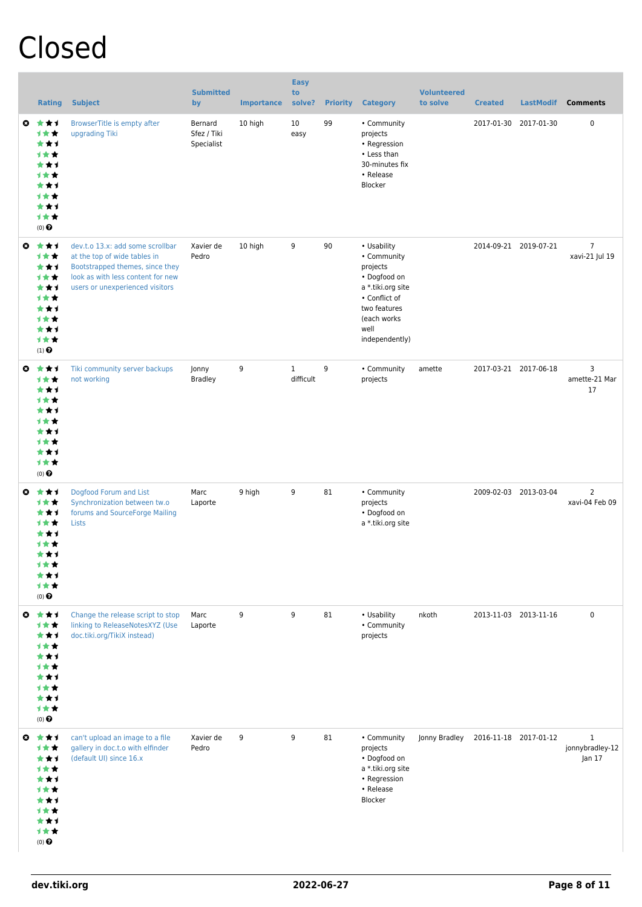# Closed

|                       | <b>Rating</b>                                                                              | <b>Subject</b>                                                                                                                                                              | <b>Submitted</b><br>by               | <b>Importance</b> | <b>Easy</b><br>to<br>solve? | <b>Priority</b> | <b>Category</b>                                                                                                                                       | <b>Volunteered</b><br>to solve | <b>Created</b>        | <b>LastModif</b>      | <b>Comments</b>                           |
|-----------------------|--------------------------------------------------------------------------------------------|-----------------------------------------------------------------------------------------------------------------------------------------------------------------------------|--------------------------------------|-------------------|-----------------------------|-----------------|-------------------------------------------------------------------------------------------------------------------------------------------------------|--------------------------------|-----------------------|-----------------------|-------------------------------------------|
| $\boldsymbol{\omega}$ | ***<br>计女女<br>***<br>计女女<br>***<br>计女女<br>***<br>1**<br>***<br>计女女<br>$(0)$ $\odot$        | BrowserTitle is empty after<br>upgrading Tiki                                                                                                                               | Bernard<br>Sfez / Tiki<br>Specialist | 10 high           | 10<br>easy                  | 99              | • Community<br>projects<br>• Regression<br>• Less than<br>30-minutes fix<br>• Release<br>Blocker                                                      |                                | 2017-01-30            | 2017-01-30            | 0                                         |
| $\boldsymbol{\omega}$ | ***<br>计女女<br>***<br>计女女<br>***<br><b>1★★</b><br>***<br>1★★<br>***<br>计女女<br>$(1)$ $\odot$ | dev.t.o 13.x: add some scrollbar<br>at the top of wide tables in<br>Bootstrapped themes, since they<br>look as with less content for new<br>users or unexperienced visitors | Xavier de<br>Pedro                   | 10 high           | 9                           | 90              | • Usability<br>• Community<br>projects<br>• Dogfood on<br>a *.tiki.org site<br>• Conflict of<br>two features<br>(each works<br>well<br>independently) |                                |                       | 2014-09-21 2019-07-21 | $\overline{7}$<br>xavi-21 Jul 19          |
| $\mathbf{c}$          | ***<br>1★★<br>***<br>计女女<br>***<br>计女女<br>***<br>计女女<br>***<br>1★★<br>$(0)$ $\pmb{\Theta}$ | Tiki community server backups<br>not working                                                                                                                                | Jonny<br><b>Bradley</b>              | 9                 | $\mathbf{1}$<br>difficult   | 9               | • Community<br>projects                                                                                                                               | amette                         |                       | 2017-03-21 2017-06-18 | 3<br>amette-21 Mar<br>17                  |
| $\boldsymbol{\omega}$ | ***<br>计女女<br>***<br>计女女<br>***<br>1★★<br>***<br>1★★<br>*1<br>计女女<br>$(0)$ $\Theta$        | Dogfood Forum and List<br>Synchronization between tw.o<br>forums and SourceForge Mailing<br>Lists                                                                           | Marc<br>Laporte                      | 9 high            | 9                           | 81              | • Community<br>projects<br>• Dogfood on<br>a *.tiki.org site                                                                                          |                                |                       | 2009-02-03 2013-03-04 | $\overline{2}$<br>xavi-04 Feb 09          |
|                       | ◎ ★★1<br>***<br>***<br>计女女<br>***<br>计女女<br>***<br>1★★<br>***<br>计女女<br>$(0)$ $\Theta$     | Change the release script to stop<br>linking to ReleaseNotesXYZ (Use<br>doc.tiki.org/TikiX instead)                                                                         | Marc<br>Laporte                      | 9                 | 9                           | 81              | • Usability<br>• Community<br>projects                                                                                                                | nkoth                          |                       | 2013-11-03 2013-11-16 | $\pmb{0}$                                 |
|                       | ◎ ★★1<br>计女女<br>***<br>计女女<br>***<br>计女女<br>***<br>1★★<br>***<br>1★★<br>$(0)$ $\odot$      | can't upload an image to a file<br>gallery in doc.t.o with elfinder<br>(default UI) since 16.x                                                                              | Xavier de<br>Pedro                   | 9                 | 9                           | 81              | • Community<br>projects<br>• Dogfood on<br>a *.tiki.org site<br>• Regression<br>• Release<br>Blocker                                                  | Jonny Bradley                  | 2016-11-18 2017-01-12 |                       | $\mathbf{1}$<br>jonnybradley-12<br>Jan 17 |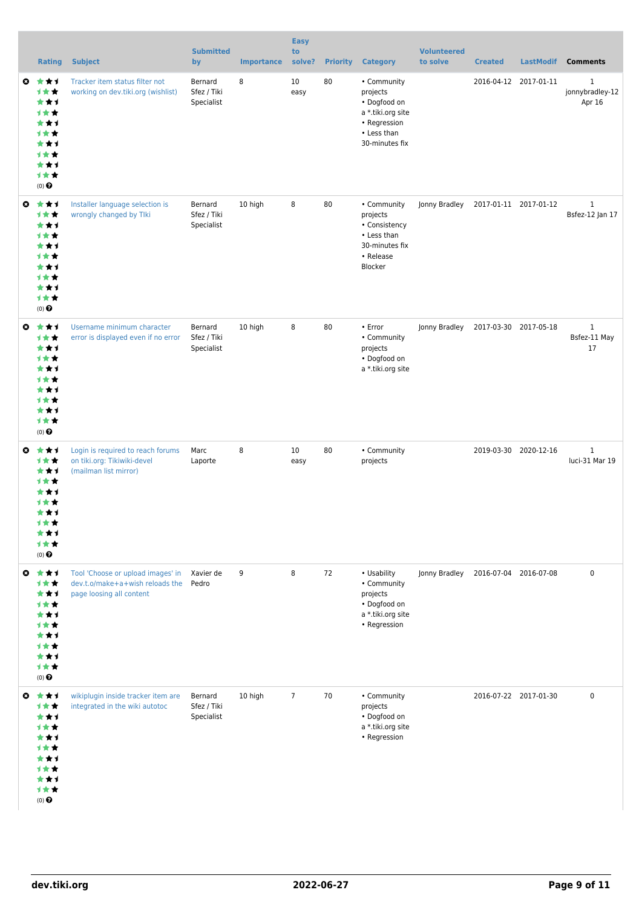|   | <b>Rating</b>                                                                         | <b>Subject</b>                                                                                   | <b>Submitted</b><br>by               | <b>Importance</b> | <b>Easy</b><br>to<br>solve? | <b>Priority</b> | <b>Category</b>                                                                                               | <b>Volunteered</b><br>to solve | <b>Created</b>        | <b>LastModif</b>      | <b>Comments</b>                           |
|---|---------------------------------------------------------------------------------------|--------------------------------------------------------------------------------------------------|--------------------------------------|-------------------|-----------------------------|-----------------|---------------------------------------------------------------------------------------------------------------|--------------------------------|-----------------------|-----------------------|-------------------------------------------|
| O | 大大才<br>计女女<br>***<br>1★★<br>***<br>计女女<br>***<br>计女女<br>***<br>1★★<br>(0)             | Tracker item status filter not<br>working on dev.tiki.org (wishlist)                             | Bernard<br>Sfez / Tiki<br>Specialist | 8                 | 10<br>easy                  | 80              | • Community<br>projects<br>• Dogfood on<br>a *.tiki.org site<br>• Regression<br>• Less than<br>30-minutes fix |                                |                       | 2016-04-12 2017-01-11 | $\mathbf{1}$<br>jonnybradley-12<br>Apr 16 |
| O | ***<br>计女女<br>***<br>计女女<br>***<br>计女女<br>***<br>计女女<br>***<br>1★★<br>(0)             | Installer language selection is<br>wrongly changed by Tlki                                       | Bernard<br>Sfez / Tiki<br>Specialist | 10 high           | 8                           | 80              | • Community<br>projects<br>• Consistency<br>• Less than<br>30-minutes fix<br>• Release<br>Blocker             | Jonny Bradley                  | 2017-01-11 2017-01-12 |                       | $\mathbf{1}$<br>Bsfez-12 Jan 17           |
| O | ***<br>计女女<br>***<br>1★★<br>***<br>计女女<br>***<br>计女女<br>***<br>计女女<br>$(0)$ $\odot$   | Username minimum character<br>error is displayed even if no error                                | Bernard<br>Sfez / Tiki<br>Specialist | 10 high           | 8                           | 80              | • Error<br>• Community<br>projects<br>• Dogfood on<br>a *.tiki.org site                                       | Jonny Bradley                  | 2017-03-30 2017-05-18 |                       | $\mathbf{1}$<br>Bsfez-11 May<br>17        |
| O | ***<br>计女女<br>***<br>计女女<br>***<br>计女女<br>***<br>计女女<br>***<br>计女女<br>$(0)$ $\odot$   | Login is required to reach forums<br>on tiki.org: Tikiwiki-devel<br>(mailman list mirror)        | Marc<br>Laporte                      | 8                 | 10<br>easy                  | 80              | • Community<br>projects                                                                                       |                                |                       | 2019-03-30 2020-12-16 | $\mathbf{1}$<br>luci-31 Mar 19            |
| ◒ | ***<br>计女女<br>***<br>计女女<br>***<br>计女女<br>***<br>计女女<br>***<br>计女女<br>$(0)$ $\odot$   | Tool 'Choose or upload images' in<br>dev.t.o/make+a+wish reloads the<br>page loosing all content | Xavier de<br>Pedro                   | 9                 | 8                           | 72              | • Usability<br>• Community<br>projects<br>• Dogfood on<br>a *.tiki.org site<br>• Regression                   | Jonny Bradley                  |                       | 2016-07-04 2016-07-08 | $\mathbf 0$                               |
|   | ◎ ★★1<br>计女女<br>***<br>计女女<br>***<br>计女女<br>***<br>计女女<br>***<br>计女女<br>$(0)$ $\odot$ | wikiplugin inside tracker item are<br>integrated in the wiki autotoc                             | Bernard<br>Sfez / Tiki<br>Specialist | 10 high           | $\overline{7}$              | 70              | • Community<br>projects<br>• Dogfood on<br>a *.tiki.org site<br>• Regression                                  |                                |                       | 2016-07-22 2017-01-30 | $\mathbf 0$                               |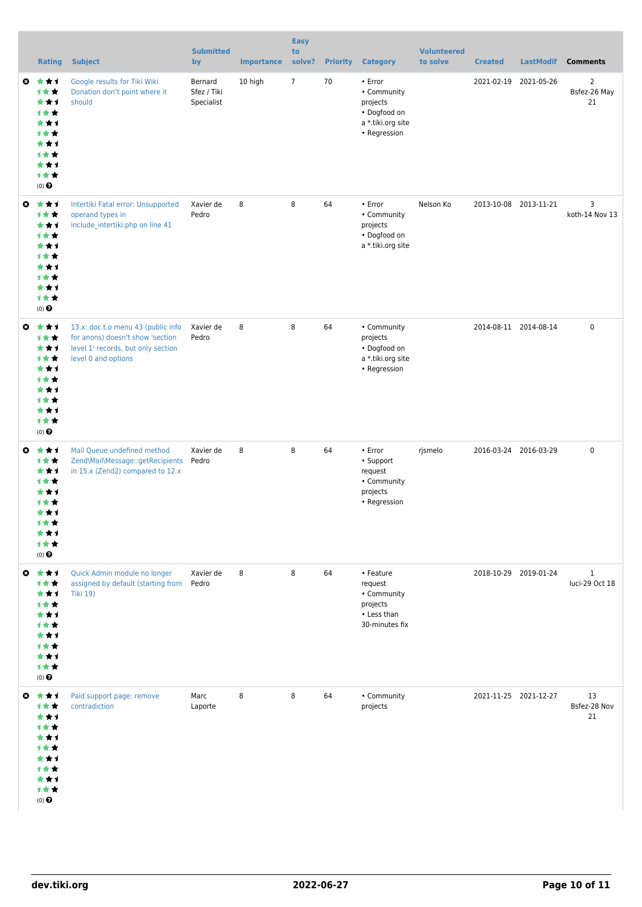|                       | <b>Rating</b>                                                                                            | <b>Subject</b>                                                                                                                      | <b>Submitted</b><br>by               | <b>Importance</b> | <b>Easy</b><br>to<br>solve? | <b>Priority</b> | <b>Category</b>                                                                         | <b>Volunteered</b><br>to solve | <b>Created</b> | <b>LastModif</b>      | <b>Comments</b>                      |
|-----------------------|----------------------------------------------------------------------------------------------------------|-------------------------------------------------------------------------------------------------------------------------------------|--------------------------------------|-------------------|-----------------------------|-----------------|-----------------------------------------------------------------------------------------|--------------------------------|----------------|-----------------------|--------------------------------------|
| $\bullet$             | ***<br>计女女<br>***<br>计女女<br>***<br>计女女<br>***<br>计女女<br>***<br>计女女<br>$(0)$ $\odot$                      | Google results for Tiki Wiki<br>Donation don't point where it<br>should                                                             | Bernard<br>Sfez / Tiki<br>Specialist | 10 high           | $7\overline{ }$             | 70              | • Error<br>• Community<br>projects<br>• Dogfood on<br>a *.tiki.org site<br>• Regression |                                | 2021-02-19     | 2021-05-26            | $\overline{2}$<br>Bsfez-26 May<br>21 |
| $\bullet$             | ***<br>计女女<br>***<br>计女女<br>***<br>计女女<br>***<br>计女女<br>***<br>计女女<br>(0)                                | Intertiki Fatal error: Unsupported<br>operand types in<br>include intertiki.php on line 41                                          | Xavier de<br>Pedro                   | 8                 | 8                           | 64              | • Error<br>• Community<br>projects<br>• Dogfood on<br>a *.tiki.org site                 | Nelson Ko                      |                | 2013-10-08 2013-11-21 | 3<br>koth-14 Nov 13                  |
| O                     | ***<br>计女女<br>***<br>计女女<br>***<br>计女女<br>***<br>计女女<br>***<br>1★★<br>$(0)$ $\odot$                      | 13.x: doc.t.o menu 43 (public info<br>for anons) doesn't show 'section<br>level 1' records, but only section<br>level 0 and options | Xavier de<br>Pedro                   | 8                 | 8                           | 64              | • Community<br>projects<br>• Dogfood on<br>a *.tiki.org site<br>• Regression            |                                |                | 2014-08-11 2014-08-14 | $\pmb{0}$                            |
| O                     | ***<br>计女女<br>***<br>计女女<br>***<br>计女女<br>***<br>1★★<br>★⊀<br>才女女<br>$(0)$ <sup><math>\odot</math></sup> | Mail Queue undefined method<br>Zend\Mail\Message::getRecipients<br>in 15.x (Zend2) compared to 12.x                                 | Xavier de<br>Pedro                   | 8                 | 8                           | 64              | • Error<br>• Support<br>request<br>• Community<br>projects<br>• Regression              | rjsmelo                        |                | 2016-03-24 2016-03-29 | $\pmb{0}$                            |
| $\bullet$             | 大大士<br>计女女<br>***<br>计女女<br>***<br><b>1**</b><br>***<br><b>1**</b><br>***<br>1★★<br>(0)                  | Quick Admin module no longer<br>assigned by default (starting from<br><b>Tiki 19)</b>                                               | Xavier de<br>Pedro                   | 8                 | 8                           | 64              | • Feature<br>request<br>• Community<br>projects<br>• Less than<br>30-minutes fix        |                                |                | 2018-10-29 2019-01-24 | $\mathbf{1}$<br>luci-29 Oct 18       |
| $\boldsymbol{\omega}$ | ***<br><b>1**</b><br>***<br>1★★<br>***<br>1 * *<br>***<br><b>1**</b><br>***<br>计女女<br>$(0)$ $\odot$      | Paid support page: remove<br>contradiction                                                                                          | Marc<br>Laporte                      | 8                 | 8                           | 64              | • Community<br>projects                                                                 |                                |                | 2021-11-25 2021-12-27 | 13<br>Bsfez-28 Nov<br>21             |